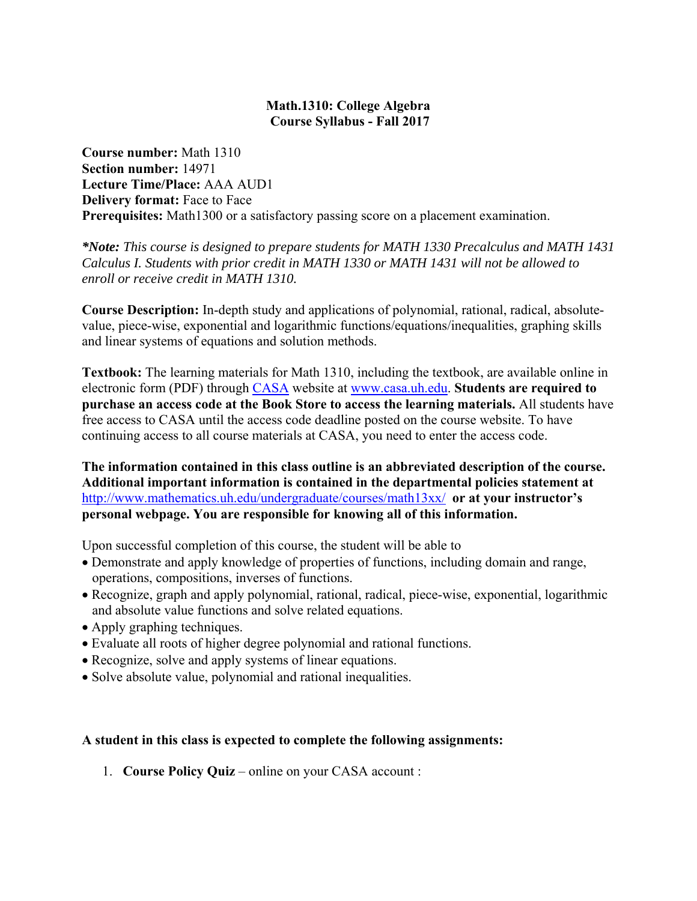# **Math.1310: College Algebra Course Syllabus - Fall 2017**

**Course number:** Math 1310 **Section number:** 14971 **Lecture Time/Place:** AAA AUD1 **Delivery format:** Face to Face **Prerequisites:** Math1300 or a satisfactory passing score on a placement examination.

*\*Note: This course is designed to prepare students for MATH 1330 Precalculus and MATH 1431 Calculus I. Students with prior credit in MATH 1330 or MATH 1431 will not be allowed to enroll or receive credit in MATH 1310.*

**Course Description:** In-depth study and applications of polynomial, rational, radical, absolutevalue, piece-wise, exponential and logarithmic functions/equations/inequalities, graphing skills and linear systems of equations and solution methods.

**Textbook:** The learning materials for Math 1310, including the textbook, are available online in electronic form (PDF) through CASA website at www.casa.uh.edu. **Students are required to purchase an access code at the Book Store to access the learning materials.** All students have free access to CASA until the access code deadline posted on the course website. To have continuing access to all course materials at CASA, you need to enter the access code.

**The information contained in this class outline is an abbreviated description of the course. Additional important information is contained in the departmental policies statement at**  http://www.mathematics.uh.edu/undergraduate/courses/math13xx/ **or at your instructor's personal webpage. You are responsible for knowing all of this information.**

Upon successful completion of this course, the student will be able to

- Demonstrate and apply knowledge of properties of functions, including domain and range, operations, compositions, inverses of functions.
- Recognize, graph and apply polynomial, rational, radical, piece-wise, exponential, logarithmic and absolute value functions and solve related equations.
- Apply graphing techniques.
- Evaluate all roots of higher degree polynomial and rational functions.
- Recognize, solve and apply systems of linear equations.
- Solve absolute value, polynomial and rational inequalities.

### **A student in this class is expected to complete the following assignments:**

1. **Course Policy Quiz** – online on your CASA account :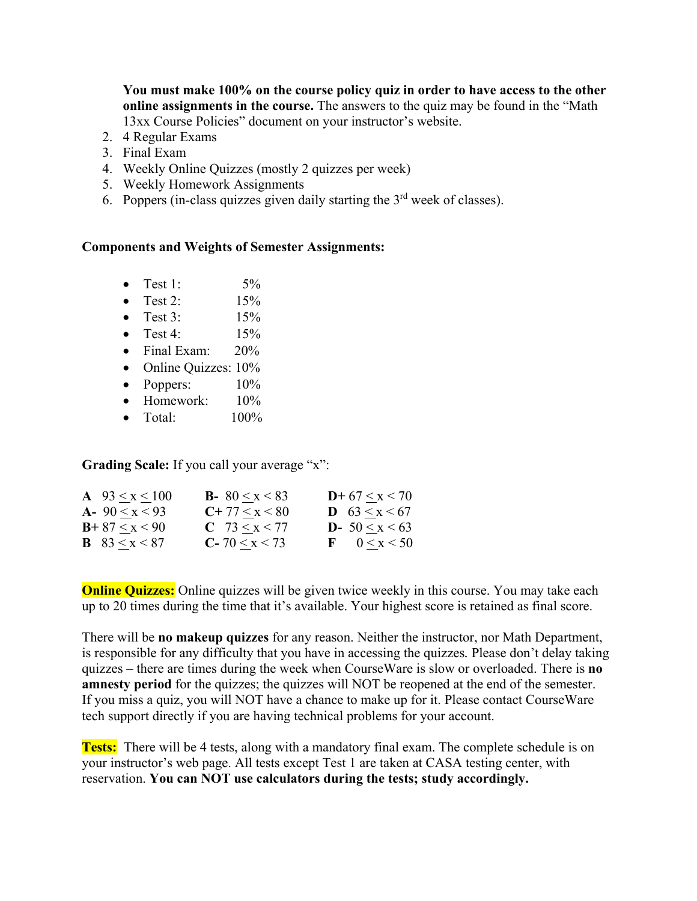**You must make 100% on the course policy quiz in order to have access to the other online assignments in the course.** The answers to the quiz may be found in the "Math 13xx Course Policies" document on your instructor's website.

- 2. 4 Regular Exams
- 3. Final Exam
- 4. Weekly Online Quizzes (mostly 2 quizzes per week)
- 5. Weekly Homework Assignments
- 6. Poppers (in-class quizzes given daily starting the  $3<sup>rd</sup>$  week of classes).

#### **Components and Weights of Semester Assignments:**

- Test 2:  $15%$
- Test 3:  $15%$
- Test 4:  $15\%$
- Final Exam: 20%
- Online Quizzes: 10%
- Poppers:  $10\%$
- Homework:  $10\%$
- $\bullet$  Total:  $100\%$

**Grading Scale:** If you call your average "x":

| A $93 \le x \le 100$        | <b>B</b> - 80 $\leq$ x < 83 | <b>D</b> + $67 \le x \le 70$ |
|-----------------------------|-----------------------------|------------------------------|
| A- $90 \le x < 93$          | $C+77 \leq x \leq 80$       | <b>D</b> $63 \le x \le 67$   |
| <b>B</b> + 87 $\leq$ x < 90 | <b>C</b> 73 $\leq$ x < 77   | <b>D</b> - 50 $\leq$ x < 63  |
| <b>B</b> 83 $\leq$ x < 87   | <b>C</b> -70 $\leq$ x < 73  | <b>F</b> $0 \le x \le 50$    |

**Online Quizzes:** Online quizzes will be given twice weekly in this course. You may take each up to 20 times during the time that it's available. Your highest score is retained as final score.

There will be **no makeup quizzes** for any reason. Neither the instructor, nor Math Department, is responsible for any difficulty that you have in accessing the quizzes*.* Please don't delay taking quizzes – there are times during the week when CourseWare is slow or overloaded. There is **no amnesty period** for the quizzes; the quizzes will NOT be reopened at the end of the semester. If you miss a quiz, you will NOT have a chance to make up for it. Please contact CourseWare tech support directly if you are having technical problems for your account.

**Tests:** There will be 4 tests, along with a mandatory final exam. The complete schedule is on your instructor's web page. All tests except Test 1 are taken at CASA testing center, with reservation. **You can NOT use calculators during the tests; study accordingly.**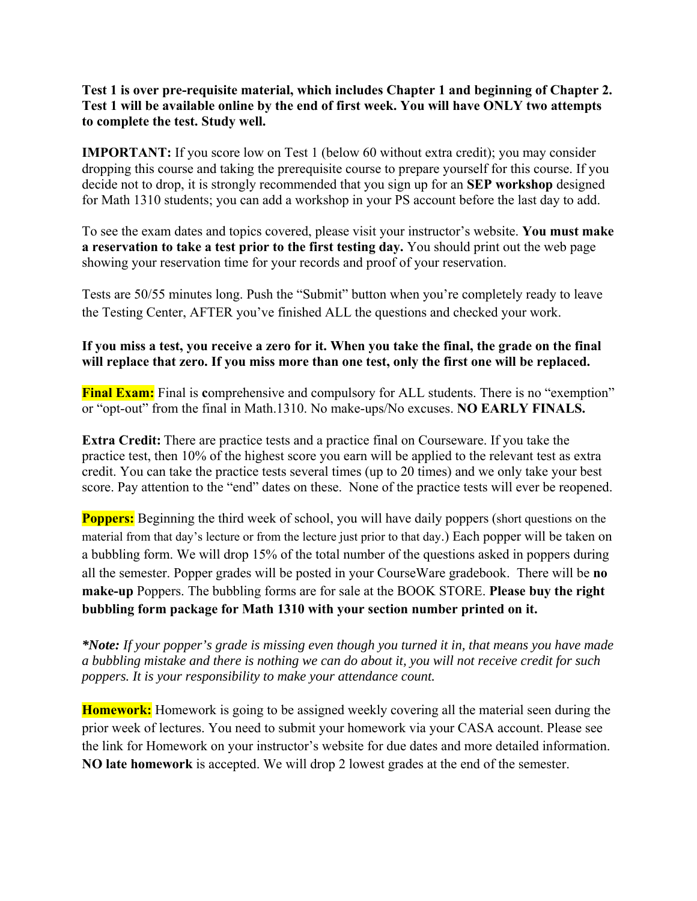### **Test 1 is over pre-requisite material, which includes Chapter 1 and beginning of Chapter 2. Test 1 will be available online by the end of first week. You will have ONLY two attempts to complete the test. Study well.**

**IMPORTANT:** If you score low on Test 1 (below 60 without extra credit); you may consider dropping this course and taking the prerequisite course to prepare yourself for this course. If you decide not to drop, it is strongly recommended that you sign up for an **SEP workshop** designed for Math 1310 students; you can add a workshop in your PS account before the last day to add.

To see the exam dates and topics covered, please visit your instructor's website. **You must make a reservation to take a test prior to the first testing day.** You should print out the web page showing your reservation time for your records and proof of your reservation.

Tests are 50/55 minutes long. Push the "Submit" button when you're completely ready to leave the Testing Center, AFTER you've finished ALL the questions and checked your work.

# **If you miss a test, you receive a zero for it. When you take the final, the grade on the final will replace that zero. If you miss more than one test, only the first one will be replaced.**

**Final Exam:** Final is comprehensive and compulsory for ALL students. There is no "exemption" or "opt-out" from the final in Math.1310. No make-ups/No excuses. **NO EARLY FINALS.**

**Extra Credit:** There are practice tests and a practice final on Courseware. If you take the practice test, then 10% of the highest score you earn will be applied to the relevant test as extra credit. You can take the practice tests several times (up to 20 times) and we only take your best score. Pay attention to the "end" dates on these. None of the practice tests will ever be reopened.

**Poppers:** Beginning the third week of school, you will have daily poppers (short questions on the material from that day's lecture or from the lecture just prior to that day.) Each popper will be taken on a bubbling form. We will drop 15% of the total number of the questions asked in poppers during all the semester. Popper grades will be posted in your CourseWare gradebook. There will be **no make-up** Poppers. The bubbling forms are for sale at the BOOK STORE. **Please buy the right bubbling form package for Math 1310 with your section number printed on it.**

*\*Note: If your popper's grade is missing even though you turned it in, that means you have made a bubbling mistake and there is nothing we can do about it, you will not receive credit for such poppers. It is your responsibility to make your attendance count.*

**Homework:** Homework is going to be assigned weekly covering all the material seen during the prior week of lectures. You need to submit your homework via your CASA account. Please see the link for Homework on your instructor's website for due dates and more detailed information. **NO late homework** is accepted. We will drop 2 lowest grades at the end of the semester.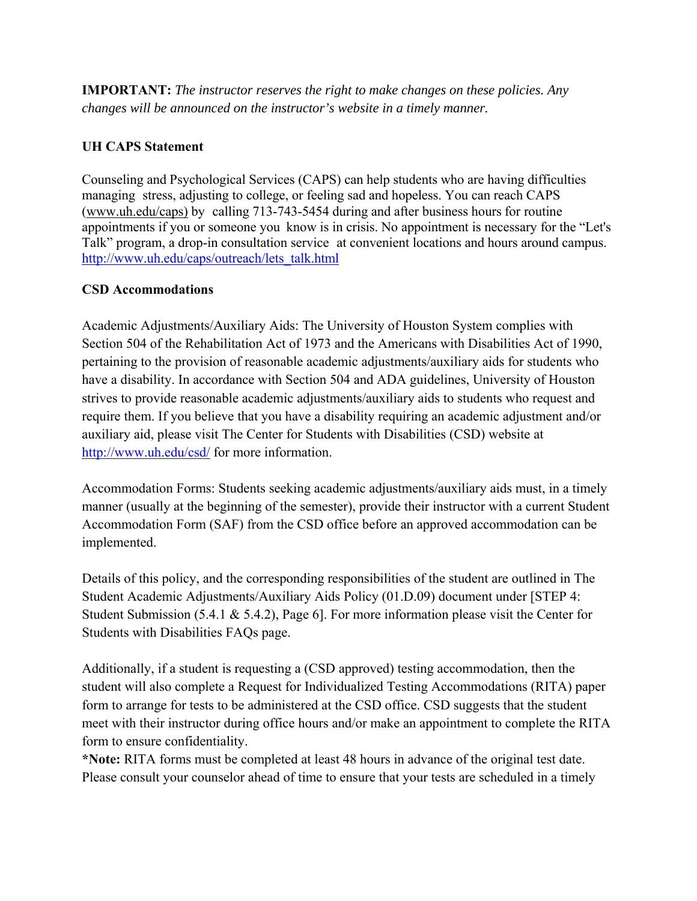**IMPORTANT:** *The instructor reserves the right to make changes on these policies. Any changes will be announced on the instructor's website in a timely manner.* 

# **UH CAPS Statement**

Counseling and Psychological Services (CAPS) can help students who are having difficulties managing stress, adjusting to college, or feeling sad and hopeless. You can reach CAPS (www.uh.edu/caps) by calling 713-743-5454 during and after business hours for routine appointments if you or someone you know is in crisis. No appointment is necessary for the "Let's Talk" program, a drop-in consultation service at convenient locations and hours around campus. http://www.uh.edu/caps/outreach/lets\_talk.html

# **CSD Accommodations**

Academic Adjustments/Auxiliary Aids: The University of Houston System complies with Section 504 of the Rehabilitation Act of 1973 and the Americans with Disabilities Act of 1990, pertaining to the provision of reasonable academic adjustments/auxiliary aids for students who have a disability. In accordance with Section 504 and ADA guidelines, University of Houston strives to provide reasonable academic adjustments/auxiliary aids to students who request and require them. If you believe that you have a disability requiring an academic adjustment and/or auxiliary aid, please visit The Center for Students with Disabilities (CSD) website at http://www.uh.edu/csd/ for more information.

Accommodation Forms: Students seeking academic adjustments/auxiliary aids must, in a timely manner (usually at the beginning of the semester), provide their instructor with a current Student Accommodation Form (SAF) from the CSD office before an approved accommodation can be implemented.

Details of this policy, and the corresponding responsibilities of the student are outlined in The Student Academic Adjustments/Auxiliary Aids Policy (01.D.09) document under [STEP 4: Student Submission (5.4.1 & 5.4.2), Page 6]. For more information please visit the Center for Students with Disabilities FAQs page.

Additionally, if a student is requesting a (CSD approved) testing accommodation, then the student will also complete a Request for Individualized Testing Accommodations (RITA) paper form to arrange for tests to be administered at the CSD office. CSD suggests that the student meet with their instructor during office hours and/or make an appointment to complete the RITA form to ensure confidentiality.

**\*Note:** RITA forms must be completed at least 48 hours in advance of the original test date. Please consult your counselor ahead of time to ensure that your tests are scheduled in a timely